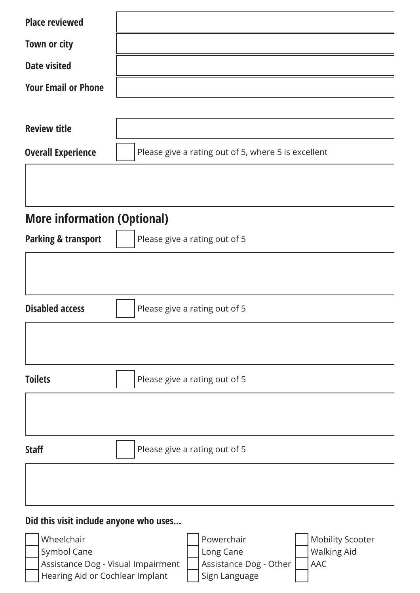| <b>Place reviewed</b>                                                                                                          |                                                     |
|--------------------------------------------------------------------------------------------------------------------------------|-----------------------------------------------------|
| Town or city                                                                                                                   |                                                     |
| <b>Date visited</b>                                                                                                            |                                                     |
| <b>Your Email or Phone</b>                                                                                                     |                                                     |
|                                                                                                                                |                                                     |
| <b>Review title</b>                                                                                                            |                                                     |
| <b>Overall Experience</b>                                                                                                      | Please give a rating out of 5, where 5 is excellent |
|                                                                                                                                |                                                     |
|                                                                                                                                |                                                     |
| <b>More information (Optional)</b>                                                                                             |                                                     |
| <b>Parking &amp; transport</b>                                                                                                 | Please give a rating out of 5                       |
|                                                                                                                                |                                                     |
|                                                                                                                                |                                                     |
| <b>Disabled access</b>                                                                                                         | Please give a rating out of 5                       |
|                                                                                                                                |                                                     |
|                                                                                                                                |                                                     |
| <b>Toilets</b>                                                                                                                 | Please give a rating out of 5                       |
|                                                                                                                                |                                                     |
|                                                                                                                                |                                                     |
| <b>Staff</b>                                                                                                                   | Please give a rating out of 5                       |
|                                                                                                                                |                                                     |
|                                                                                                                                |                                                     |
| Did this visit include anyone who uses                                                                                         |                                                     |
| Wheelchair                                                                                                                     | Powerchair<br><b>Mobility Scooter</b>               |
| Symbol Cane                                                                                                                    | <b>Walking Aid</b><br>Long Cane                     |
| Assistance Dog - Visual Impairment<br>Assistance Dog - Other<br><b>AAC</b><br>Hearing Aid or Cochlear Implant<br>Sign Language |                                                     |